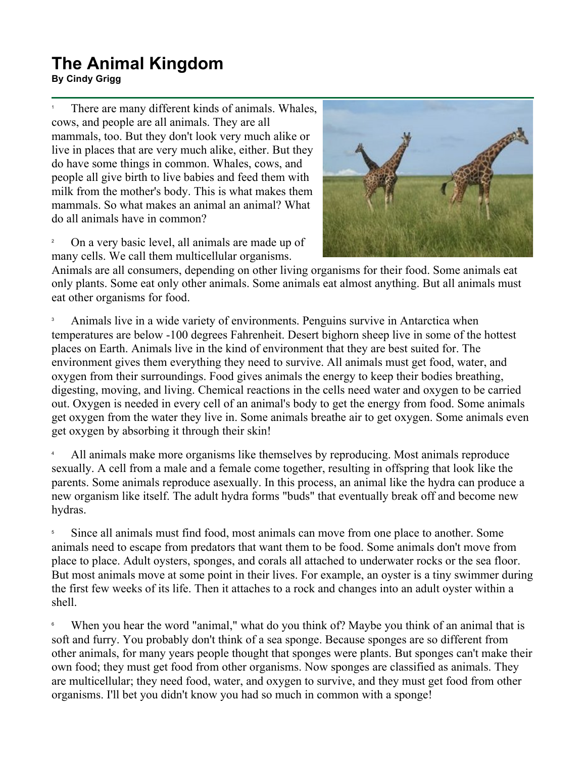## **The Animal Kingdom By Cindy Grigg**<br>By Cindy Grigg

1 There are many different kinds of animals. Whales, cows, and people are all animals. They are all mammals, too. But they don't look very much alike or live in places that are very much alike, either. But they do have some things in common. Whales, cows, and people all give birth to live babies and feed them with milk from the mother's body. This is what makes them mammals. So what makes an animal an animal? What do all animals have in common?

2 On a very basic level, all animals are made up of many cells. We call them multicellular organisms.



Animals are all consumers, depending on other living organisms for their food. Some animals eat only plants. Some eat only other animals. Some animals eat almost anything. But all animals must eat other organisms for food.

3 Animals live in a wide variety of environments. Penguins survive in Antarctica when temperatures are below -100 degrees Fahrenheit. Desert bighorn sheep live in some of the hottest places on Earth. Animals live in the kind of environment that they are best suited for. The environment gives them everything they need to survive. All animals must get food, water, and oxygen from their surroundings. Food gives animals the energy to keep their bodies breathing, digesting, moving, and living. Chemical reactions in the cells need water and oxygen to be carried out. Oxygen is needed in every cell of an animal's body to get the energy from food. Some animals get oxygen from the water they live in. Some animals breathe air to get oxygen. Some animals even get oxygen by absorbing it through their skin!

4 All animals make more organisms like themselves by reproducing. Most animals reproduce sexually. A cell from a male and a female come together, resulting in offspring that look like the parents. Some animals reproduce asexually. In this process, an animal like the hydra can produce a new organism like itself. The adult hydra forms "buds" that eventually break off and become new hydras.

5 Since all animals must find food, most animals can move from one place to another. Some animals need to escape from predators that want them to be food. Some animals don't move from place to place. Adult oysters, sponges, and corals all attached to underwater rocks or the sea floor. But most animals move at some point in their lives. For example, an oyster is a tiny swimmer during the first few weeks of its life. Then it attaches to a rock and changes into an adult oyster within a shell.

6 When you hear the word "animal," what do you think of? Maybe you think of an animal that is soft and furry. You probably don't think of a sea sponge. Because sponges are so different from other animals, for many years people thought that sponges were plants. But sponges can't make their own food; they must get food from other organisms. Now sponges are classified as animals. They are multicellular; they need food, water, and oxygen to survive, and they must get food from other organisms. I'll bet you didn't know you had so much in common with a sponge!